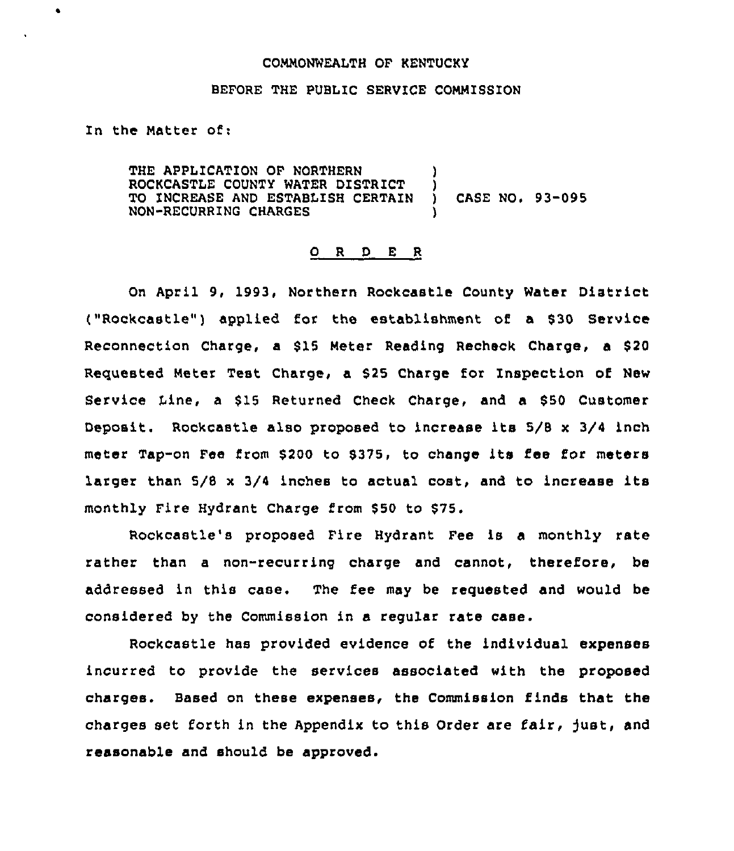## COMMONWEALTH OF KENTUCKY

#### BEFORE THE PUBLIC SERVICE COMMISSION

In the Matter of:

 $\bullet$ 

THE APPLICATION OF NORTHERN ROCKCASTLE COUNTY WATER DISTRICT )<br>TO INCREASE AND ESTABLISH CERTAIN ) TO INCREASE AND ESTABIISH CERTAIN ) CASE NO. 93-095 NON-RECURRING CHARGES )

#### O R D E R

On April 9, 1993, Northern Rockcastle County Water District ("Rockcastle") applied for the establishment of a \$30 Service Reconnection Charge, a \$15 Meter Reading Recheck Charge, a \$20 Requested Meter Test Charge, a 525 Charge for Inspection of New Service Line, a \$15 Returned Check Charge, and a \$50 Customer Deposit. Rockcastle also proposed to increase its 5/8 <sup>x</sup> 3/4 inch meter Tap-on Fee from \$200 to \$375, to change its fee for meters larger than 5/8 <sup>x</sup> 3/4 inches to actual cost, and to increase its monthly Fire Hydrant Charge from \$50 to \$75.

Rockcastle's proposed Fire Hydrant Fee is a monthly rate rather than a non-recurring charge and cannot, therefore, be addressed in this case. The fee may be requested and would be considered by the Commission in a regular rate case.

Rockcastle has provided evidence of the individual expenses incurred to provide the services associated with the proposed charges. Based on these expenses, the Commission finds that the charges set forth in the Appendix to this Order are fair, just, and reasonable and should be approved.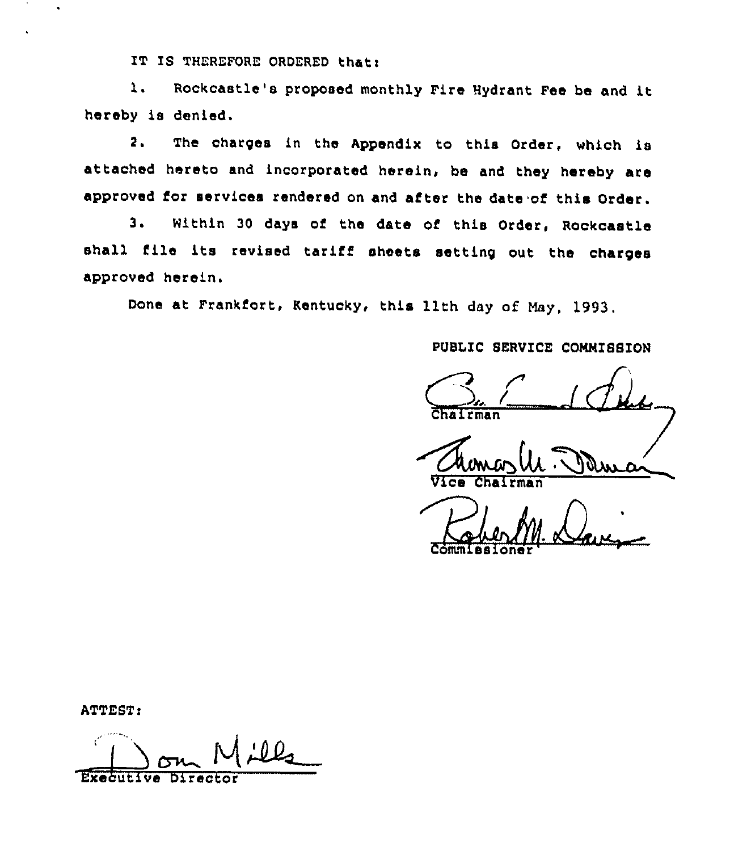IT IS THEREFORE ORDERED that:

Rockcastle's proposed monthly Fire Hydrant Fee be and it  $\mathbf{1}$ . hereby is denied.

The charges in the Appendix to this Order, which is  $2.$ attached hereto and incorporated herein, be and they hereby are approved for services rendered on and after the date of this Order.

Within 30 days of the date of this Order, Rockcastle  $3.1$ shall file its revised tariff sheets setting out the charges approved herein.

Done at Frankfort, Kentucky, this llth day of May, 1993.

PUBLIC SERVICE COMMISSION

rman

ATTEST:

ر0 ۱ **Executive** Director